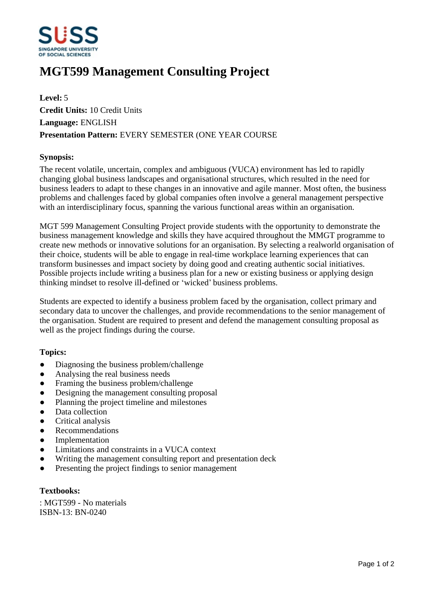

# **MGT599 Management Consulting Project**

**Level:** 5 **Credit Units:** 10 Credit Units **Language:** ENGLISH **Presentation Pattern:** EVERY SEMESTER (ONE YEAR COURSE

## **Synopsis:**

The recent volatile, uncertain, complex and ambiguous (VUCA) environment has led to rapidly changing global business landscapes and organisational structures, which resulted in the need for business leaders to adapt to these changes in an innovative and agile manner. Most often, the business problems and challenges faced by global companies often involve a general management perspective with an interdisciplinary focus, spanning the various functional areas within an organisation.

MGT 599 Management Consulting Project provide students with the opportunity to demonstrate the business management knowledge and skills they have acquired throughout the MMGT programme to create new methods or innovative solutions for an organisation. By selecting a realworld organisation of their choice, students will be able to engage in real-time workplace learning experiences that can transform businesses and impact society by doing good and creating authentic social initiatives. Possible projects include writing a business plan for a new or existing business or applying design thinking mindset to resolve ill-defined or 'wicked' business problems.

Students are expected to identify a business problem faced by the organisation, collect primary and secondary data to uncover the challenges, and provide recommendations to the senior management of the organisation. Student are required to present and defend the management consulting proposal as well as the project findings during the course.

#### **Topics:**

- Diagnosing the business problem/challenge
- Analysing the real business needs
- Framing the business problem/challenge
- Designing the management consulting proposal
- Planning the project timeline and milestones
- Data collection
- Critical analysis
- Recommendations
- Implementation
- Limitations and constraints in a VUCA context
- Writing the management consulting report and presentation deck
- Presenting the project findings to senior management

#### **Textbooks:**

: MGT599 - No materials ISBN-13: BN-0240